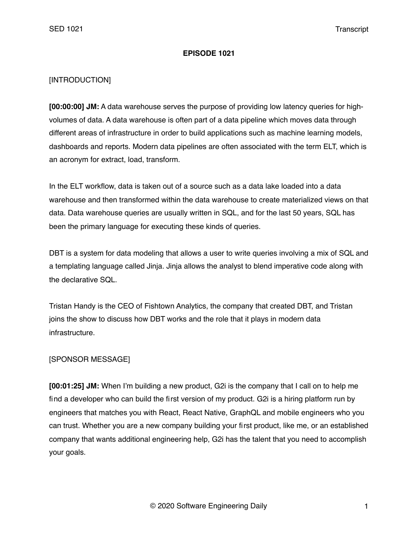## **EPISODE 1021**

# [INTRODUCTION]

**[00:00:00] JM:** A data warehouse serves the purpose of providing low latency queries for highvolumes of data. A data warehouse is often part of a data pipeline which moves data through different areas of infrastructure in order to build applications such as machine learning models, dashboards and reports. Modern data pipelines are often associated with the term ELT, which is an acronym for extract, load, transform.

In the ELT workflow, data is taken out of a source such as a data lake loaded into a data warehouse and then transformed within the data warehouse to create materialized views on that data. Data warehouse queries are usually written in SQL, and for the last 50 years, SQL has been the primary language for executing these kinds of queries.

DBT is a system for data modeling that allows a user to write queries involving a mix of SQL and a templating language called Jinja. Jinja allows the analyst to blend imperative code along with the declarative SQL.

Tristan Handy is the CEO of Fishtown Analytics, the company that created DBT, and Tristan joins the show to discuss how DBT works and the role that it plays in modern data infrastructure.

## [SPONSOR MESSAGE]

**[00:01:25] JM:** When I'm building a new product, G2i is the company that I call on to help me find a developer who can build the first version of my product. G2i is a hiring platform run by engineers that matches you with React, React Native, GraphQL and mobile engineers who you can trust. Whether you are a new company building your first product, like me, or an established company that wants additional engineering help, G2i has the talent that you need to accomplish your goals.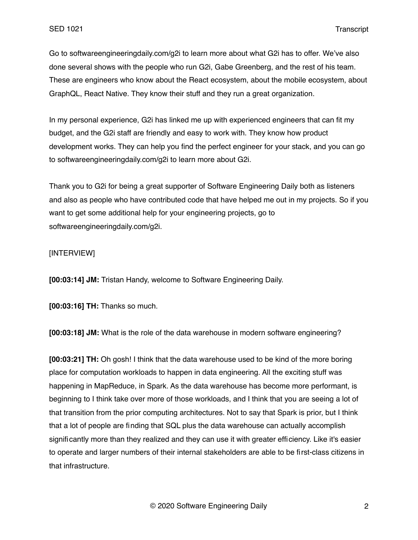Go to softwareengineeringdaily.com/g2i to learn more about what G2i has to offer. We've also done several shows with the people who run G2i, Gabe Greenberg, and the rest of his team. These are engineers who know about the React ecosystem, about the mobile ecosystem, about GraphQL, React Native. They know their stuff and they run a great organization.

In my personal experience, G2i has linked me up with experienced engineers that can fit my budget, and the G2i staff are friendly and easy to work with. They know how product development works. They can help you find the perfect engineer for your stack, and you can go to softwareengineeringdaily.com/g2i to learn more about G2i.

Thank you to G2i for being a great supporter of Software Engineering Daily both as listeners and also as people who have contributed code that have helped me out in my projects. So if you want to get some additional help for your engineering projects, go to softwareengineeringdaily.com/g2i.

## [INTERVIEW]

**[00:03:14] JM:** Tristan Handy, welcome to Software Engineering Daily.

**[00:03:16] TH:** Thanks so much.

**[00:03:18] JM:** What is the role of the data warehouse in modern software engineering?

**[00:03:21] TH:** Oh gosh! I think that the data warehouse used to be kind of the more boring place for computation workloads to happen in data engineering. All the exciting stuff was happening in MapReduce, in Spark. As the data warehouse has become more performant, is beginning to I think take over more of those workloads, and I think that you are seeing a lot of that transition from the prior computing architectures. Not to say that Spark is prior, but I think that a lot of people are finding that SQL plus the data warehouse can actually accomplish significantly more than they realized and they can use it with greater efficiency. Like it's easier to operate and larger numbers of their internal stakeholders are able to be first-class citizens in that infrastructure.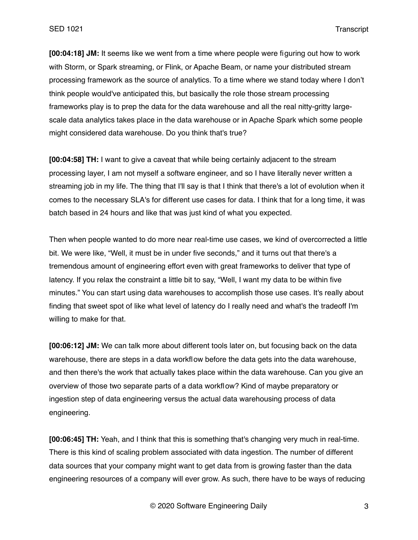**[00:04:18] JM:** It seems like we went from a time where people were figuring out how to work with Storm, or Spark streaming, or Flink, or Apache Beam, or name your distributed stream processing framework as the source of analytics. To a time where we stand today where I don't think people would've anticipated this, but basically the role those stream processing frameworks play is to prep the data for the data warehouse and all the real nitty-gritty largescale data analytics takes place in the data warehouse or in Apache Spark which some people might considered data warehouse. Do you think that's true?

**[00:04:58] TH:** I want to give a caveat that while being certainly adjacent to the stream processing layer, I am not myself a software engineer, and so I have literally never written a streaming job in my life. The thing that I'll say is that I think that there's a lot of evolution when it comes to the necessary SLA's for different use cases for data. I think that for a long time, it was batch based in 24 hours and like that was just kind of what you expected.

Then when people wanted to do more near real-time use cases, we kind of overcorrected a little bit. We were like, "Well, it must be in under five seconds," and it turns out that there's a tremendous amount of engineering effort even with great frameworks to deliver that type of latency. If you relax the constraint a little bit to say, "Well, I want my data to be within five minutes." You can start using data warehouses to accomplish those use cases. It's really about finding that sweet spot of like what level of latency do I really need and what's the tradeoff I'm willing to make for that.

**[00:06:12] JM:** We can talk more about different tools later on, but focusing back on the data warehouse, there are steps in a data workflow before the data gets into the data warehouse, and then there's the work that actually takes place within the data warehouse. Can you give an overview of those two separate parts of a data workflow? Kind of maybe preparatory or ingestion step of data engineering versus the actual data warehousing process of data engineering.

**[00:06:45] TH:** Yeah, and I think that this is something that's changing very much in real-time. There is this kind of scaling problem associated with data ingestion. The number of different data sources that your company might want to get data from is growing faster than the data engineering resources of a company will ever grow. As such, there have to be ways of reducing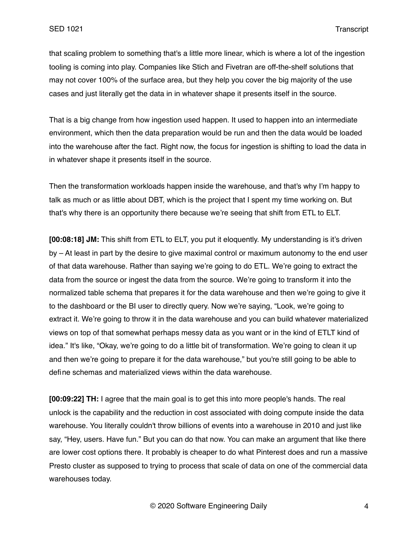that scaling problem to something that's a little more linear, which is where a lot of the ingestion tooling is coming into play. Companies like Stich and Fivetran are off-the-shelf solutions that may not cover 100% of the surface area, but they help you cover the big majority of the use cases and just literally get the data in in whatever shape it presents itself in the source.

That is a big change from how ingestion used happen. It used to happen into an intermediate environment, which then the data preparation would be run and then the data would be loaded into the warehouse after the fact. Right now, the focus for ingestion is shifting to load the data in in whatever shape it presents itself in the source.

Then the transformation workloads happen inside the warehouse, and that's why I'm happy to talk as much or as little about DBT, which is the project that I spent my time working on. But that's why there is an opportunity there because we're seeing that shift from ETL to ELT.

**[00:08:18] JM:** This shift from ETL to ELT, you put it eloquently. My understanding is it's driven by – At least in part by the desire to give maximal control or maximum autonomy to the end user of that data warehouse. Rather than saying we're going to do ETL. We're going to extract the data from the source or ingest the data from the source. We're going to transform it into the normalized table schema that prepares it for the data warehouse and then we're going to give it to the dashboard or the BI user to directly query. Now we're saying, "Look, we're going to extract it. We're going to throw it in the data warehouse and you can build whatever materialized views on top of that somewhat perhaps messy data as you want or in the kind of ETLT kind of idea." It's like, "Okay, we're going to do a little bit of transformation. We're going to clean it up and then we're going to prepare it for the data warehouse," but you're still going to be able to define schemas and materialized views within the data warehouse.

**[00:09:22] TH:** I agree that the main goal is to get this into more people's hands. The real unlock is the capability and the reduction in cost associated with doing compute inside the data warehouse. You literally couldn't throw billions of events into a warehouse in 2010 and just like say, "Hey, users. Have fun." But you can do that now. You can make an argument that like there are lower cost options there. It probably is cheaper to do what Pinterest does and run a massive Presto cluster as supposed to trying to process that scale of data on one of the commercial data warehouses today.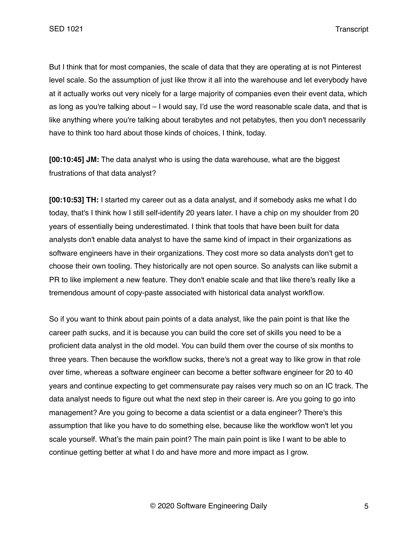But I think that for most companies, the scale of data that they are operating at is not Pinterest level scale. So the assumption of just like throw it all into the warehouse and let everybody have at it actually works out very nicely for a large majority of companies even their event data, which as long as you're talking about – I would say, I'd use the word reasonable scale data, and that is like anything where you're talking about terabytes and not petabytes, then you don't necessarily have to think too hard about those kinds of choices, I think, today.

**[00:10:45] JM:** The data analyst who is using the data warehouse, what are the biggest frustrations of that data analyst?

**[00:10:53] TH:** I started my career out as a data analyst, and if somebody asks me what I do today, that's I think how I still self-identify 20 years later. I have a chip on my shoulder from 20 years of essentially being underestimated. I think that tools that have been built for data analysts don't enable data analyst to have the same kind of impact in their organizations as software engineers have in their organizations. They cost more so data analysts don't get to choose their own tooling. They historically are not open source. So analysts can like submit a PR to like implement a new feature. They don't enable scale and that like there's really like a tremendous amount of copy-paste associated with historical data analyst workflow.

So if you want to think about pain points of a data analyst, like the pain point is that like the career path sucks, and it is because you can build the core set of skills you need to be a proficient data analyst in the old model. You can build them over the course of six months to three years. Then because the workflow sucks, there's not a great way to like grow in that role over time, whereas a software engineer can become a better software engineer for 20 to 40 years and continue expecting to get commensurate pay raises very much so on an IC track. The data analyst needs to figure out what the next step in their career is. Are you going to go into management? Are you going to become a data scientist or a data engineer? There's this assumption that like you have to do something else, because like the workflow won't let you scale yourself. What's the main pain point? The main pain point is like I want to be able to continue getting better at what I do and have more and more impact as I grow.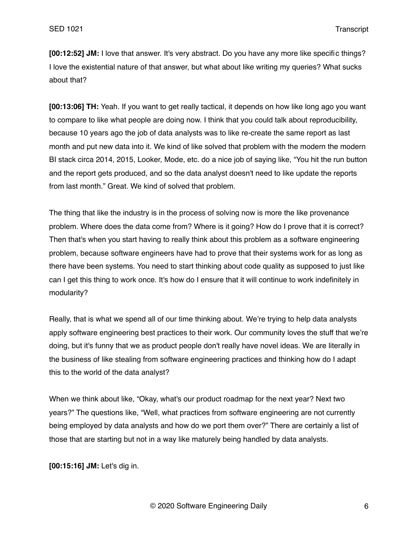**[00:12:52] JM:** I love that answer. It's very abstract. Do you have any more like specific things? I love the existential nature of that answer, but what about like writing my queries? What sucks about that?

**[00:13:06] TH:** Yeah. If you want to get really tactical, it depends on how like long ago you want to compare to like what people are doing now. I think that you could talk about reproducibility, because 10 years ago the job of data analysts was to like re-create the same report as last month and put new data into it. We kind of like solved that problem with the modern the modern BI stack circa 2014, 2015, Looker, Mode, etc. do a nice job of saying like, "You hit the run button and the report gets produced, and so the data analyst doesn't need to like update the reports from last month." Great. We kind of solved that problem.

The thing that like the industry is in the process of solving now is more the like provenance problem. Where does the data come from? Where is it going? How do I prove that it is correct? Then that's when you start having to really think about this problem as a software engineering problem, because software engineers have had to prove that their systems work for as long as there have been systems. You need to start thinking about code quality as supposed to just like can I get this thing to work once. It's how do I ensure that it will continue to work indefinitely in modularity?

Really, that is what we spend all of our time thinking about. We're trying to help data analysts apply software engineering best practices to their work. Our community loves the stuff that we're doing, but it's funny that we as product people don't really have novel ideas. We are literally in the business of like stealing from software engineering practices and thinking how do I adapt this to the world of the data analyst?

When we think about like, "Okay, what's our product roadmap for the next year? Next two years?" The questions like, "Well, what practices from software engineering are not currently being employed by data analysts and how do we port them over?" There are certainly a list of those that are starting but not in a way like maturely being handled by data analysts.

**[00:15:16] JM:** Let's dig in.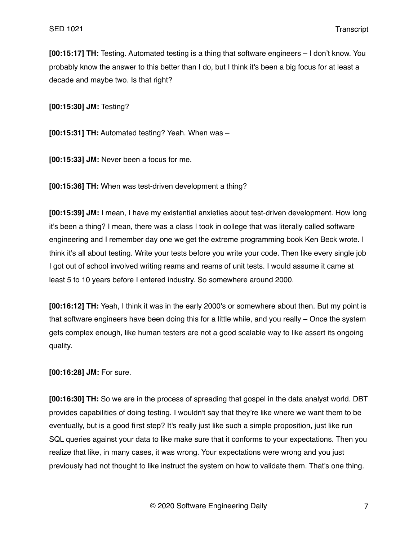**[00:15:17] TH:** Testing. Automated testing is a thing that software engineers – I don't know. You probably know the answer to this better than I do, but I think it's been a big focus for at least a decade and maybe two. Is that right?

**[00:15:30] JM:** Testing?

**[00:15:31] TH:** Automated testing? Yeah. When was –

**[00:15:33] JM:** Never been a focus for me.

**[00:15:36] TH:** When was test-driven development a thing?

**[00:15:39] JM:** I mean, I have my existential anxieties about test-driven development. How long it's been a thing? I mean, there was a class I took in college that was literally called software engineering and I remember day one we get the extreme programming book Ken Beck wrote. I think it's all about testing. Write your tests before you write your code. Then like every single job I got out of school involved writing reams and reams of unit tests. I would assume it came at least 5 to 10 years before I entered industry. So somewhere around 2000.

**[00:16:12] TH:** Yeah, I think it was in the early 2000's or somewhere about then. But my point is that software engineers have been doing this for a little while, and you really – Once the system gets complex enough, like human testers are not a good scalable way to like assert its ongoing quality.

**[00:16:28] JM:** For sure.

**[00:16:30] TH:** So we are in the process of spreading that gospel in the data analyst world. DBT provides capabilities of doing testing. I wouldn't say that they're like where we want them to be eventually, but is a good first step? It's really just like such a simple proposition, just like run SQL queries against your data to like make sure that it conforms to your expectations. Then you realize that like, in many cases, it was wrong. Your expectations were wrong and you just previously had not thought to like instruct the system on how to validate them. That's one thing.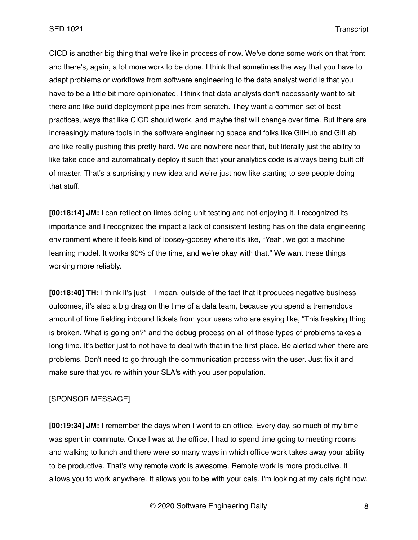CICD is another big thing that we're like in process of now. We've done some work on that front and there's, again, a lot more work to be done. I think that sometimes the way that you have to adapt problems or workflows from software engineering to the data analyst world is that you have to be a little bit more opinionated. I think that data analysts don't necessarily want to sit there and like build deployment pipelines from scratch. They want a common set of best practices, ways that like CICD should work, and maybe that will change over time. But there are increasingly mature tools in the software engineering space and folks like GitHub and GitLab are like really pushing this pretty hard. We are nowhere near that, but literally just the ability to like take code and automatically deploy it such that your analytics code is always being built off of master. That's a surprisingly new idea and we're just now like starting to see people doing that stuff.

**[00:18:14] JM:** I can reflect on times doing unit testing and not enjoying it. I recognized its importance and I recognized the impact a lack of consistent testing has on the data engineering environment where it feels kind of loosey-goosey where it's like, "Yeah, we got a machine learning model. It works 90% of the time, and we're okay with that." We want these things working more reliably.

**[00:18:40] TH:** I think it's just – I mean, outside of the fact that it produces negative business outcomes, it's also a big drag on the time of a data team, because you spend a tremendous amount of time fielding inbound tickets from your users who are saying like, "This freaking thing is broken. What is going on?" and the debug process on all of those types of problems takes a long time. It's better just to not have to deal with that in the first place. Be alerted when there are problems. Don't need to go through the communication process with the user. Just fix it and make sure that you're within your SLA's with you user population.

# [SPONSOR MESSAGE]

**[00:19:34] JM:** I remember the days when I went to an office. Every day, so much of my time was spent in commute. Once I was at the office, I had to spend time going to meeting rooms and walking to lunch and there were so many ways in which office work takes away your ability to be productive. That's why remote work is awesome. Remote work is more productive. It allows you to work anywhere. It allows you to be with your cats. I'm looking at my cats right now.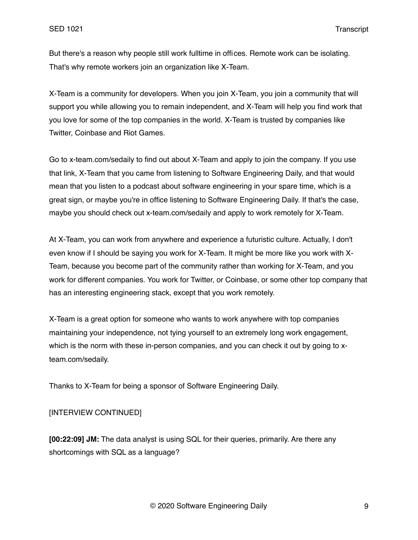But there's a reason why people still work fulltime in offices. Remote work can be isolating. That's why remote workers join an organization like X-Team.

X-Team is a community for developers. When you join X-Team, you join a community that will support you while allowing you to remain independent, and X-Team will help you find work that you love for some of the top companies in the world. X-Team is trusted by companies like Twitter, Coinbase and Riot Games.

Go to x-team.com/sedaily to find out about X-Team and apply to join the company. If you use that link, X-Team that you came from listening to Software Engineering Daily, and that would mean that you listen to a podcast about software engineering in your spare time, which is a great sign, or maybe you're in office listening to Software Engineering Daily. If that's the case, maybe you should check out x-team.com/sedaily and apply to work remotely for X-Team.

At X-Team, you can work from anywhere and experience a futuristic culture. Actually, I don't even know if I should be saying you work for X-Team. It might be more like you work with X-Team, because you become part of the community rather than working for X-Team, and you work for different companies. You work for Twitter, or Coinbase, or some other top company that has an interesting engineering stack, except that you work remotely.

X-Team is a great option for someone who wants to work anywhere with top companies maintaining your independence, not tying yourself to an extremely long work engagement, which is the norm with these in-person companies, and you can check it out by going to xteam.com/sedaily.

Thanks to X-Team for being a sponsor of Software Engineering Daily.

# [INTERVIEW CONTINUED]

**[00:22:09] JM:** The data analyst is using SQL for their queries, primarily. Are there any shortcomings with SQL as a language?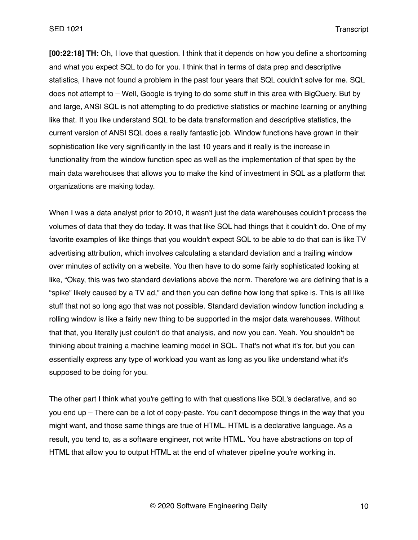SED 1021 Transcript

**[00:22:18] TH:** Oh, I love that question. I think that it depends on how you define a shortcoming and what you expect SQL to do for you. I think that in terms of data prep and descriptive statistics, I have not found a problem in the past four years that SQL couldn't solve for me. SQL does not attempt to – Well, Google is trying to do some stuff in this area with BigQuery. But by and large, ANSI SQL is not attempting to do predictive statistics or machine learning or anything like that. If you like understand SQL to be data transformation and descriptive statistics, the current version of ANSI SQL does a really fantastic job. Window functions have grown in their sophistication like very significantly in the last 10 years and it really is the increase in functionality from the window function spec as well as the implementation of that spec by the main data warehouses that allows you to make the kind of investment in SQL as a platform that organizations are making today.

When I was a data analyst prior to 2010, it wasn't just the data warehouses couldn't process the volumes of data that they do today. It was that like SQL had things that it couldn't do. One of my favorite examples of like things that you wouldn't expect SQL to be able to do that can is like TV advertising attribution, which involves calculating a standard deviation and a trailing window over minutes of activity on a website. You then have to do some fairly sophisticated looking at like, "Okay, this was two standard deviations above the norm. Therefore we are defining that is a "spike" likely caused by a TV ad," and then you can define how long that spike is. This is all like stuff that not so long ago that was not possible. Standard deviation window function including a rolling window is like a fairly new thing to be supported in the major data warehouses. Without that that, you literally just couldn't do that analysis, and now you can. Yeah. You shouldn't be thinking about training a machine learning model in SQL. That's not what it's for, but you can essentially express any type of workload you want as long as you like understand what it's supposed to be doing for you.

The other part I think what you're getting to with that questions like SQL's declarative, and so you end up – There can be a lot of copy-paste. You can't decompose things in the way that you might want, and those same things are true of HTML. HTML is a declarative language. As a result, you tend to, as a software engineer, not write HTML. You have abstractions on top of HTML that allow you to output HTML at the end of whatever pipeline you're working in.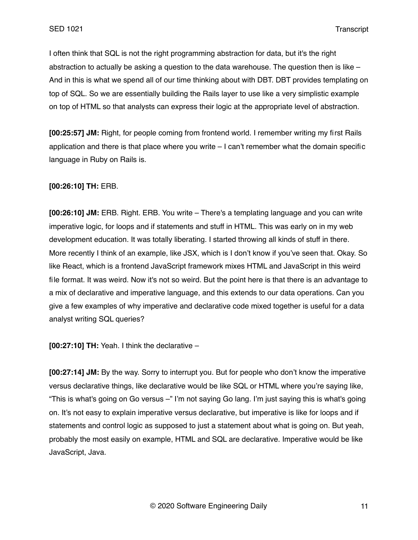I often think that SQL is not the right programming abstraction for data, but it's the right abstraction to actually be asking a question to the data warehouse. The question then is like  $-$ And in this is what we spend all of our time thinking about with DBT. DBT provides templating on top of SQL. So we are essentially building the Rails layer to use like a very simplistic example on top of HTML so that analysts can express their logic at the appropriate level of abstraction.

**[00:25:57] JM:** Right, for people coming from frontend world. I remember writing my first Rails application and there is that place where you write – I can't remember what the domain specific language in Ruby on Rails is.

#### **[00:26:10] TH:** ERB.

**[00:26:10] JM:** ERB. Right. ERB. You write – There's a templating language and you can write imperative logic, for loops and if statements and stuff in HTML. This was early on in my web development education. It was totally liberating. I started throwing all kinds of stuff in there. More recently I think of an example, like JSX, which is I don't know if you've seen that. Okay. So like React, which is a frontend JavaScript framework mixes HTML and JavaScript in this weird file format. It was weird. Now it's not so weird. But the point here is that there is an advantage to a mix of declarative and imperative language, and this extends to our data operations. Can you give a few examples of why imperative and declarative code mixed together is useful for a data analyst writing SQL queries?

**[00:27:10] TH:** Yeah. I think the declarative –

**[00:27:14] JM:** By the way. Sorry to interrupt you. But for people who don't know the imperative versus declarative things, like declarative would be like SQL or HTML where you're saying like, "This is what's going on Go versus –" I'm not saying Go lang. I'm just saying this is what's going on. It's not easy to explain imperative versus declarative, but imperative is like for loops and if statements and control logic as supposed to just a statement about what is going on. But yeah, probably the most easily on example, HTML and SQL are declarative. Imperative would be like JavaScript, Java.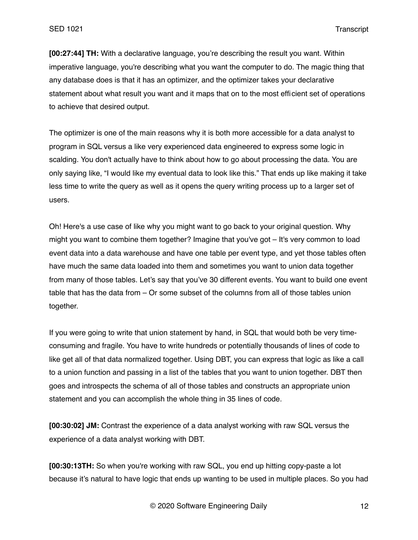SED 1021 Transcript

**[00:27:44] TH:** With a declarative language, you're describing the result you want. Within imperative language, you're describing what you want the computer to do. The magic thing that any database does is that it has an optimizer, and the optimizer takes your declarative statement about what result you want and it maps that on to the most efficient set of operations to achieve that desired output.

The optimizer is one of the main reasons why it is both more accessible for a data analyst to program in SQL versus a like very experienced data engineered to express some logic in scalding. You don't actually have to think about how to go about processing the data. You are only saying like, "I would like my eventual data to look like this." That ends up like making it take less time to write the query as well as it opens the query writing process up to a larger set of users.

Oh! Here's a use case of like why you might want to go back to your original question. Why might you want to combine them together? Imagine that you've got – It's very common to load event data into a data warehouse and have one table per event type, and yet those tables often have much the same data loaded into them and sometimes you want to union data together from many of those tables. Let's say that you've 30 different events. You want to build one event table that has the data from – Or some subset of the columns from all of those tables union together.

If you were going to write that union statement by hand, in SQL that would both be very timeconsuming and fragile. You have to write hundreds or potentially thousands of lines of code to like get all of that data normalized together. Using DBT, you can express that logic as like a call to a union function and passing in a list of the tables that you want to union together. DBT then goes and introspects the schema of all of those tables and constructs an appropriate union statement and you can accomplish the whole thing in 35 lines of code.

**[00:30:02] JM:** Contrast the experience of a data analyst working with raw SQL versus the experience of a data analyst working with DBT.

**[00:30:13TH:** So when you're working with raw SQL, you end up hitting copy-paste a lot because it's natural to have logic that ends up wanting to be used in multiple places. So you had

© 2020 Software Engineering Daily 12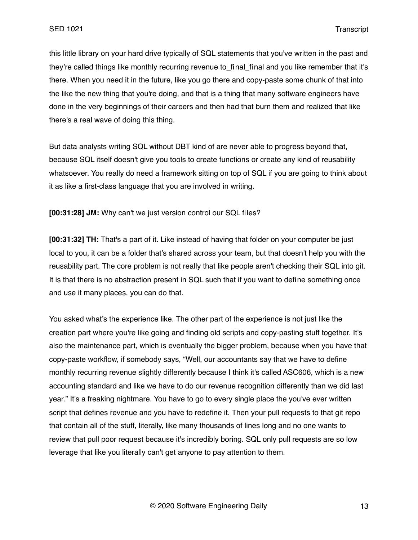this little library on your hard drive typically of SQL statements that you've written in the past and they're called things like monthly recurring revenue to final final and you like remember that it's there. When you need it in the future, like you go there and copy-paste some chunk of that into the like the new thing that you're doing, and that is a thing that many software engineers have done in the very beginnings of their careers and then had that burn them and realized that like there's a real wave of doing this thing.

But data analysts writing SQL without DBT kind of are never able to progress beyond that, because SQL itself doesn't give you tools to create functions or create any kind of reusability whatsoever. You really do need a framework sitting on top of SQL if you are going to think about it as like a first-class language that you are involved in writing.

**[00:31:28] JM:** Why can't we just version control our SQL files?

**[00:31:32] TH:** That's a part of it. Like instead of having that folder on your computer be just local to you, it can be a folder that's shared across your team, but that doesn't help you with the reusability part. The core problem is not really that like people aren't checking their SQL into git. It is that there is no abstraction present in SQL such that if you want to define something once and use it many places, you can do that.

You asked what's the experience like. The other part of the experience is not just like the creation part where you're like going and finding old scripts and copy-pasting stuff together. It's also the maintenance part, which is eventually the bigger problem, because when you have that copy-paste workflow, if somebody says, "Well, our accountants say that we have to define monthly recurring revenue slightly differently because I think it's called ASC606, which is a new accounting standard and like we have to do our revenue recognition differently than we did last year." It's a freaking nightmare. You have to go to every single place the you've ever written script that defines revenue and you have to redefine it. Then your pull requests to that git repo that contain all of the stuff, literally, like many thousands of lines long and no one wants to review that pull poor request because it's incredibly boring. SQL only pull requests are so low leverage that like you literally can't get anyone to pay attention to them.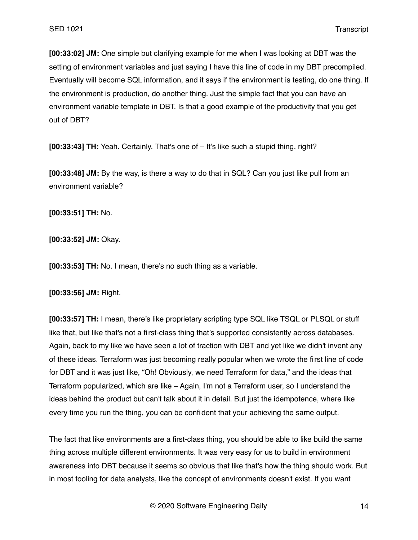**[00:33:02] JM:** One simple but clarifying example for me when I was looking at DBT was the setting of environment variables and just saying I have this line of code in my DBT precompiled. Eventually will become SQL information, and it says if the environment is testing, do one thing. If the environment is production, do another thing. Just the simple fact that you can have an environment variable template in DBT. Is that a good example of the productivity that you get out of DBT?

**[00:33:43] TH:** Yeah. Certainly. That's one of – It's like such a stupid thing, right?

**[00:33:48] JM:** By the way, is there a way to do that in SQL? Can you just like pull from an environment variable?

**[00:33:51] TH:** No.

**[00:33:52] JM:** Okay.

**[00:33:53] TH:** No. I mean, there's no such thing as a variable.

**[00:33:56] JM:** Right.

**[00:33:57] TH:** I mean, there's like proprietary scripting type SQL like TSQL or PLSQL or stuff like that, but like that's not a first-class thing that's supported consistently across databases. Again, back to my like we have seen a lot of traction with DBT and yet like we didn't invent any of these ideas. Terraform was just becoming really popular when we wrote the first line of code for DBT and it was just like, "Oh! Obviously, we need Terraform for data," and the ideas that Terraform popularized, which are like – Again, I'm not a Terraform user, so I understand the ideas behind the product but can't talk about it in detail. But just the idempotence, where like every time you run the thing, you can be confident that your achieving the same output.

The fact that like environments are a first-class thing, you should be able to like build the same thing across multiple different environments. It was very easy for us to build in environment awareness into DBT because it seems so obvious that like that's how the thing should work. But in most tooling for data analysts, like the concept of environments doesn't exist. If you want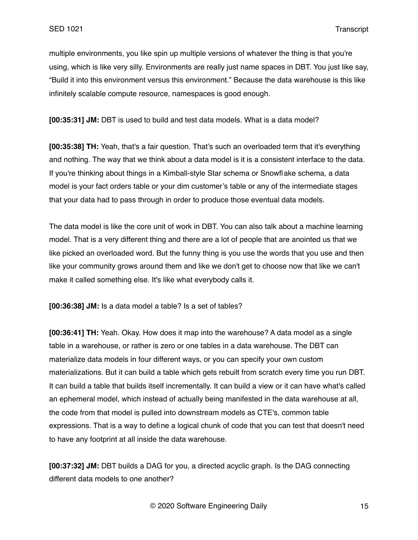multiple environments, you like spin up multiple versions of whatever the thing is that you're using, which is like very silly. Environments are really just name spaces in DBT. You just like say, "Build it into this environment versus this environment." Because the data warehouse is this like infinitely scalable compute resource, namespaces is good enough.

**[00:35:31] JM:** DBT is used to build and test data models. What is a data model?

**[00:35:38] TH:** Yeah, that's a fair question. That's such an overloaded term that it's everything and nothing. The way that we think about a data model is it is a consistent interface to the data. If you're thinking about things in a Kimball-style Star schema or Snowflake schema, a data model is your fact orders table or your dim customer's table or any of the intermediate stages that your data had to pass through in order to produce those eventual data models.

The data model is like the core unit of work in DBT. You can also talk about a machine learning model. That is a very different thing and there are a lot of people that are anointed us that we like picked an overloaded word. But the funny thing is you use the words that you use and then like your community grows around them and like we don't get to choose now that like we can't make it called something else. It's like what everybody calls it.

**[00:36:38] JM:** Is a data model a table? Is a set of tables?

**[00:36:41] TH:** Yeah. Okay. How does it map into the warehouse? A data model as a single table in a warehouse, or rather is zero or one tables in a data warehouse. The DBT can materialize data models in four different ways, or you can specify your own custom materializations. But it can build a table which gets rebuilt from scratch every time you run DBT. It can build a table that builds itself incrementally. It can build a view or it can have what's called an ephemeral model, which instead of actually being manifested in the data warehouse at all, the code from that model is pulled into downstream models as CTE's, common table expressions. That is a way to define a logical chunk of code that you can test that doesn't need to have any footprint at all inside the data warehouse.

**[00:37:32] JM:** DBT builds a DAG for you, a directed acyclic graph. Is the DAG connecting different data models to one another?

© 2020 Software Engineering Daily 15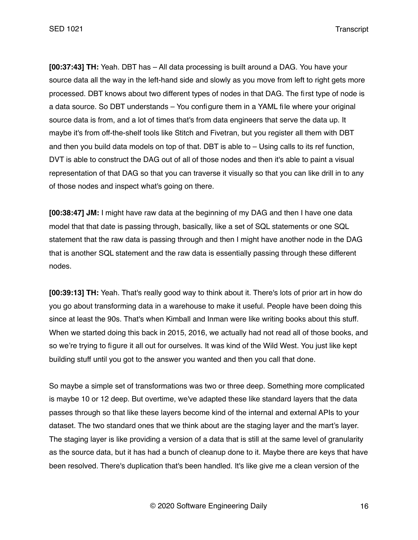**[00:37:43] TH:** Yeah. DBT has – All data processing is built around a DAG. You have your source data all the way in the left-hand side and slowly as you move from left to right gets more processed. DBT knows about two different types of nodes in that DAG. The first type of node is a data source. So DBT understands – You configure them in a YAML file where your original source data is from, and a lot of times that's from data engineers that serve the data up. It maybe it's from off-the-shelf tools like Stitch and Fivetran, but you register all them with DBT and then you build data models on top of that. DBT is able to – Using calls to its ref function, DVT is able to construct the DAG out of all of those nodes and then it's able to paint a visual representation of that DAG so that you can traverse it visually so that you can like drill in to any of those nodes and inspect what's going on there.

**[00:38:47] JM:** I might have raw data at the beginning of my DAG and then I have one data model that that date is passing through, basically, like a set of SQL statements or one SQL statement that the raw data is passing through and then I might have another node in the DAG that is another SQL statement and the raw data is essentially passing through these different nodes.

**[00:39:13] TH:** Yeah. That's really good way to think about it. There's lots of prior art in how do you go about transforming data in a warehouse to make it useful. People have been doing this since at least the 90s. That's when Kimball and Inman were like writing books about this stuff. When we started doing this back in 2015, 2016, we actually had not read all of those books, and so we're trying to figure it all out for ourselves. It was kind of the Wild West. You just like kept building stuff until you got to the answer you wanted and then you call that done.

So maybe a simple set of transformations was two or three deep. Something more complicated is maybe 10 or 12 deep. But overtime, we've adapted these like standard layers that the data passes through so that like these layers become kind of the internal and external APIs to your dataset. The two standard ones that we think about are the staging layer and the mart's layer. The staging layer is like providing a version of a data that is still at the same level of granularity as the source data, but it has had a bunch of cleanup done to it. Maybe there are keys that have been resolved. There's duplication that's been handled. It's like give me a clean version of the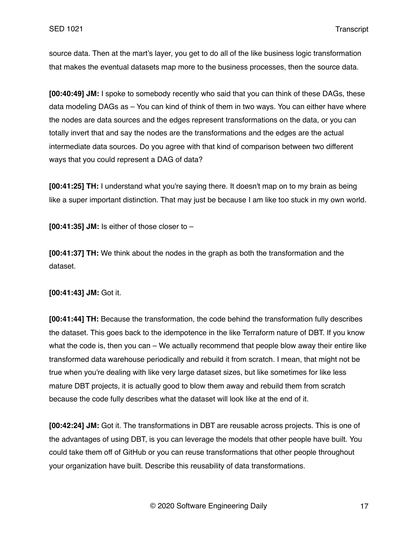source data. Then at the mart's layer, you get to do all of the like business logic transformation that makes the eventual datasets map more to the business processes, then the source data.

**[00:40:49] JM:** I spoke to somebody recently who said that you can think of these DAGs, these data modeling DAGs as – You can kind of think of them in two ways. You can either have where the nodes are data sources and the edges represent transformations on the data, or you can totally invert that and say the nodes are the transformations and the edges are the actual intermediate data sources. Do you agree with that kind of comparison between two different ways that you could represent a DAG of data?

**[00:41:25] TH:** I understand what you're saying there. It doesn't map on to my brain as being like a super important distinction. That may just be because I am like too stuck in my own world.

**[00:41:35] JM:** Is either of those closer to –

**[00:41:37] TH:** We think about the nodes in the graph as both the transformation and the dataset.

**[00:41:43] JM:** Got it.

**[00:41:44] TH:** Because the transformation, the code behind the transformation fully describes the dataset. This goes back to the idempotence in the like Terraform nature of DBT. If you know what the code is, then you can – We actually recommend that people blow away their entire like transformed data warehouse periodically and rebuild it from scratch. I mean, that might not be true when you're dealing with like very large dataset sizes, but like sometimes for like less mature DBT projects, it is actually good to blow them away and rebuild them from scratch because the code fully describes what the dataset will look like at the end of it.

**[00:42:24] JM:** Got it. The transformations in DBT are reusable across projects. This is one of the advantages of using DBT, is you can leverage the models that other people have built. You could take them off of GitHub or you can reuse transformations that other people throughout your organization have built. Describe this reusability of data transformations.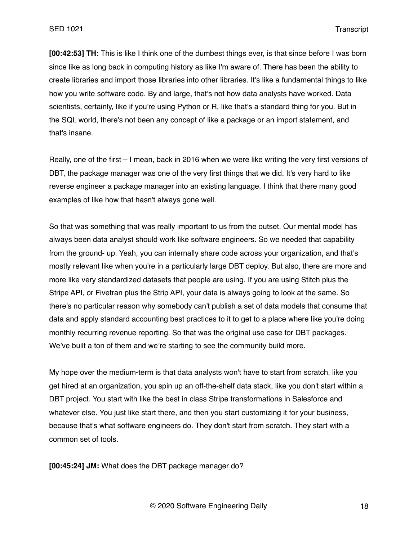**[00:42:53] TH:** This is like I think one of the dumbest things ever, is that since before I was born since like as long back in computing history as like I'm aware of. There has been the ability to create libraries and import those libraries into other libraries. It's like a fundamental things to like how you write software code. By and large, that's not how data analysts have worked. Data scientists, certainly, like if you're using Python or R, like that's a standard thing for you. But in the SQL world, there's not been any concept of like a package or an import statement, and that's insane.

Really, one of the first – I mean, back in 2016 when we were like writing the very first versions of DBT, the package manager was one of the very first things that we did. It's very hard to like reverse engineer a package manager into an existing language. I think that there many good examples of like how that hasn't always gone well.

So that was something that was really important to us from the outset. Our mental model has always been data analyst should work like software engineers. So we needed that capability from the ground- up. Yeah, you can internally share code across your organization, and that's mostly relevant like when you're in a particularly large DBT deploy. But also, there are more and more like very standardized datasets that people are using. If you are using Stitch plus the Stripe API, or Fivetran plus the Strip API, your data is always going to look at the same. So there's no particular reason why somebody can't publish a set of data models that consume that data and apply standard accounting best practices to it to get to a place where like you're doing monthly recurring revenue reporting. So that was the original use case for DBT packages. We've built a ton of them and we're starting to see the community build more.

My hope over the medium-term is that data analysts won't have to start from scratch, like you get hired at an organization, you spin up an off-the-shelf data stack, like you don't start within a DBT project. You start with like the best in class Stripe transformations in Salesforce and whatever else. You just like start there, and then you start customizing it for your business, because that's what software engineers do. They don't start from scratch. They start with a common set of tools.

**[00:45:24] JM:** What does the DBT package manager do?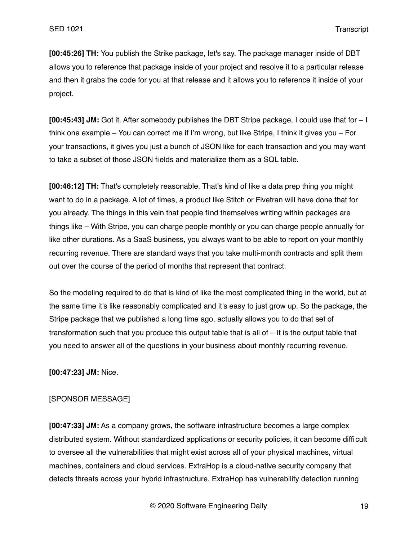**[00:45:26] TH:** You publish the Strike package, let's say. The package manager inside of DBT allows you to reference that package inside of your project and resolve it to a particular release and then it grabs the code for you at that release and it allows you to reference it inside of your project.

**[00:45:43] JM:** Got it. After somebody publishes the DBT Stripe package, I could use that for – I think one example – You can correct me if I'm wrong, but like Stripe, I think it gives you – For your transactions, it gives you just a bunch of JSON like for each transaction and you may want to take a subset of those JSON fields and materialize them as a SQL table.

**[00:46:12] TH:** That's completely reasonable. That's kind of like a data prep thing you might want to do in a package. A lot of times, a product like Stitch or Fivetran will have done that for you already. The things in this vein that people find themselves writing within packages are things like – With Stripe, you can charge people monthly or you can charge people annually for like other durations. As a SaaS business, you always want to be able to report on your monthly recurring revenue. There are standard ways that you take multi-month contracts and split them out over the course of the period of months that represent that contract.

So the modeling required to do that is kind of like the most complicated thing in the world, but at the same time it's like reasonably complicated and it's easy to just grow up. So the package, the Stripe package that we published a long time ago, actually allows you to do that set of transformation such that you produce this output table that is all of – It is the output table that you need to answer all of the questions in your business about monthly recurring revenue.

**[00:47:23] JM:** Nice.

## [SPONSOR MESSAGE]

**[00:47:33] JM:** As a company grows, the software infrastructure becomes a large complex distributed system. Without standardized applications or security policies, it can become difficult to oversee all the vulnerabilities that might exist across all of your physical machines, virtual machines, containers and cloud services. ExtraHop is a cloud-native security company that detects threats across your hybrid infrastructure. ExtraHop has vulnerability detection running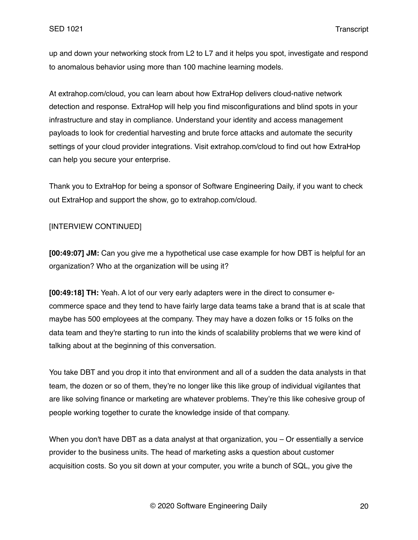up and down your networking stock from L2 to L7 and it helps you spot, investigate and respond to anomalous behavior using more than 100 machine learning models.

At extrahop.com/cloud, you can learn about how ExtraHop delivers cloud-native network detection and response. ExtraHop will help you find misconfigurations and blind spots in your infrastructure and stay in compliance. Understand your identity and access management payloads to look for credential harvesting and brute force attacks and automate the security settings of your cloud provider integrations. Visit extrahop.com/cloud to find out how ExtraHop can help you secure your enterprise.

Thank you to ExtraHop for being a sponsor of Software Engineering Daily, if you want to check out ExtraHop and support the show, go to extrahop.com/cloud.

# [INTERVIEW CONTINUED]

**[00:49:07] JM:** Can you give me a hypothetical use case example for how DBT is helpful for an organization? Who at the organization will be using it?

**[00:49:18] TH:** Yeah. A lot of our very early adapters were in the direct to consumer ecommerce space and they tend to have fairly large data teams take a brand that is at scale that maybe has 500 employees at the company. They may have a dozen folks or 15 folks on the data team and they're starting to run into the kinds of scalability problems that we were kind of talking about at the beginning of this conversation.

You take DBT and you drop it into that environment and all of a sudden the data analysts in that team, the dozen or so of them, they're no longer like this like group of individual vigilantes that are like solving finance or marketing are whatever problems. They're this like cohesive group of people working together to curate the knowledge inside of that company.

When you don't have DBT as a data analyst at that organization, you – Or essentially a service provider to the business units. The head of marketing asks a question about customer acquisition costs. So you sit down at your computer, you write a bunch of SQL, you give the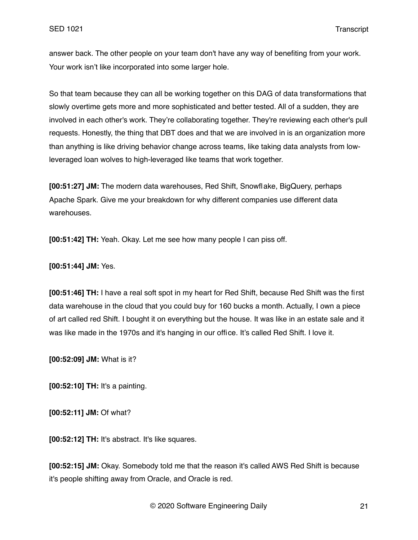answer back. The other people on your team don't have any way of benefiting from your work. Your work isn't like incorporated into some larger hole.

So that team because they can all be working together on this DAG of data transformations that slowly overtime gets more and more sophisticated and better tested. All of a sudden, they are involved in each other's work. They're collaborating together. They're reviewing each other's pull requests. Honestly, the thing that DBT does and that we are involved in is an organization more than anything is like driving behavior change across teams, like taking data analysts from lowleveraged loan wolves to high-leveraged like teams that work together.

**[00:51:27] JM:** The modern data warehouses, Red Shift, Snowflake, BigQuery, perhaps Apache Spark. Give me your breakdown for why different companies use different data warehouses.

**[00:51:42] TH:** Yeah. Okay. Let me see how many people I can piss off.

**[00:51:44] JM:** Yes.

**[00:51:46] TH:** I have a real soft spot in my heart for Red Shift, because Red Shift was the first data warehouse in the cloud that you could buy for 160 bucks a month. Actually, I own a piece of art called red Shift. I bought it on everything but the house. It was like in an estate sale and it was like made in the 1970s and it's hanging in our office. It's called Red Shift. I love it.

**[00:52:09] JM:** What is it?

**[00:52:10] TH:** It's a painting.

**[00:52:11] JM:** Of what?

**[00:52:12] TH:** It's abstract. It's like squares.

**[00:52:15] JM:** Okay. Somebody told me that the reason it's called AWS Red Shift is because it's people shifting away from Oracle, and Oracle is red.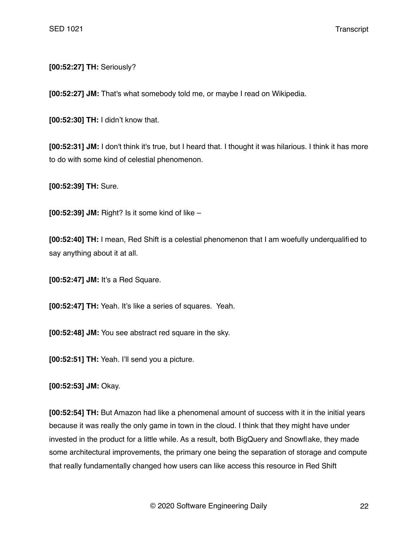**[00:52:27] TH:** Seriously?

**[00:52:27] JM:** That's what somebody told me, or maybe I read on Wikipedia.

**[00:52:30] TH:** I didn't know that.

**[00:52:31] JM:** I don't think it's true, but I heard that. I thought it was hilarious. I think it has more to do with some kind of celestial phenomenon.

**[00:52:39] TH:** Sure.

**[00:52:39] JM:** Right? Is it some kind of like –

**[00:52:40] TH:** I mean, Red Shift is a celestial phenomenon that I am woefully underqualified to say anything about it at all.

**[00:52:47] JM:** It's a Red Square.

**[00:52:47] TH:** Yeah. It's like a series of squares. Yeah.

**[00:52:48] JM:** You see abstract red square in the sky.

**[00:52:51] TH:** Yeah. I'll send you a picture.

**[00:52:53] JM:** Okay.

**[00:52:54] TH:** But Amazon had like a phenomenal amount of success with it in the initial years because it was really the only game in town in the cloud. I think that they might have under invested in the product for a little while. As a result, both BigQuery and Snowflake, they made some architectural improvements, the primary one being the separation of storage and compute that really fundamentally changed how users can like access this resource in Red Shift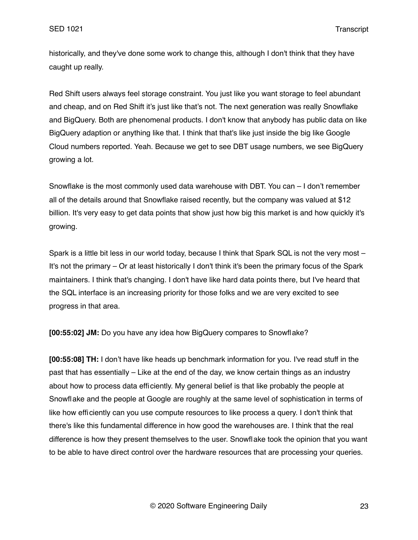historically, and they've done some work to change this, although I don't think that they have caught up really.

Red Shift users always feel storage constraint. You just like you want storage to feel abundant and cheap, and on Red Shift it's just like that's not. The next generation was really Snowflake and BigQuery. Both are phenomenal products. I don't know that anybody has public data on like BigQuery adaption or anything like that. I think that that's like just inside the big like Google Cloud numbers reported. Yeah. Because we get to see DBT usage numbers, we see BigQuery growing a lot.

Snowflake is the most commonly used data warehouse with DBT. You can – I don't remember all of the details around that Snowflake raised recently, but the company was valued at \$12 billion. It's very easy to get data points that show just how big this market is and how quickly it's growing.

Spark is a little bit less in our world today, because I think that Spark SQL is not the very most – It's not the primary – Or at least historically I don't think it's been the primary focus of the Spark maintainers. I think that's changing. I don't have like hard data points there, but I've heard that the SQL interface is an increasing priority for those folks and we are very excited to see progress in that area.

**[00:55:02] JM:** Do you have any idea how BigQuery compares to Snowflake?

**[00:55:08] TH:** I don't have like heads up benchmark information for you. I've read stuff in the past that has essentially – Like at the end of the day, we know certain things as an industry about how to process data efficiently. My general belief is that like probably the people at Snowflake and the people at Google are roughly at the same level of sophistication in terms of like how efficiently can you use compute resources to like process a query. I don't think that there's like this fundamental difference in how good the warehouses are. I think that the real difference is how they present themselves to the user. Snowflake took the opinion that you want to be able to have direct control over the hardware resources that are processing your queries.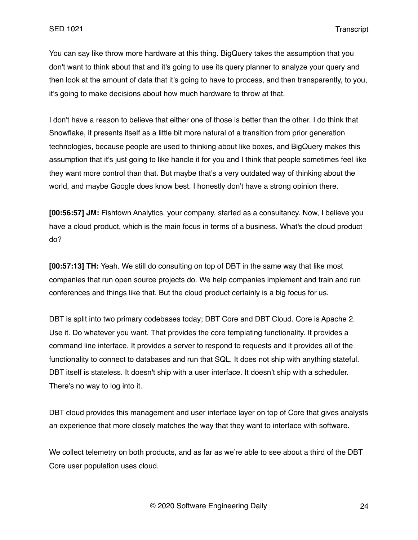You can say like throw more hardware at this thing. BigQuery takes the assumption that you don't want to think about that and it's going to use its query planner to analyze your query and then look at the amount of data that it's going to have to process, and then transparently, to you, it's going to make decisions about how much hardware to throw at that.

I don't have a reason to believe that either one of those is better than the other. I do think that Snowflake, it presents itself as a little bit more natural of a transition from prior generation technologies, because people are used to thinking about like boxes, and BigQuery makes this assumption that it's just going to like handle it for you and I think that people sometimes feel like they want more control than that. But maybe that's a very outdated way of thinking about the world, and maybe Google does know best. I honestly don't have a strong opinion there.

**[00:56:57] JM:** Fishtown Analytics, your company, started as a consultancy. Now, I believe you have a cloud product, which is the main focus in terms of a business. What's the cloud product do?

**[00:57:13] TH:** Yeah. We still do consulting on top of DBT in the same way that like most companies that run open source projects do. We help companies implement and train and run conferences and things like that. But the cloud product certainly is a big focus for us.

DBT is split into two primary codebases today; DBT Core and DBT Cloud. Core is Apache 2. Use it. Do whatever you want. That provides the core templating functionality. It provides a command line interface. It provides a server to respond to requests and it provides all of the functionality to connect to databases and run that SQL. It does not ship with anything stateful. DBT itself is stateless. It doesn't ship with a user interface. It doesn't ship with a scheduler. There's no way to log into it.

DBT cloud provides this management and user interface layer on top of Core that gives analysts an experience that more closely matches the way that they want to interface with software.

We collect telemetry on both products, and as far as we're able to see about a third of the DBT Core user population uses cloud.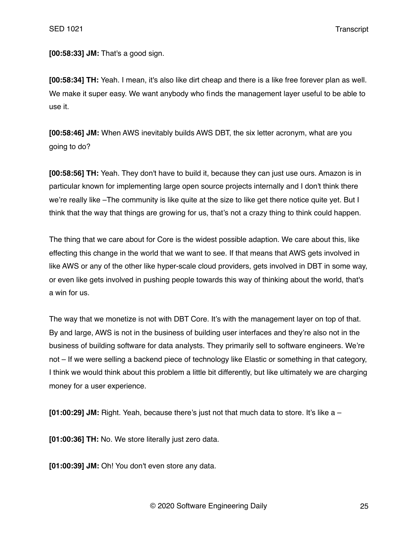SED 1021 Transcript

**[00:58:33] JM:** That's a good sign.

**[00:58:34] TH:** Yeah. I mean, it's also like dirt cheap and there is a like free forever plan as well. We make it super easy. We want anybody who finds the management layer useful to be able to use it.

**[00:58:46] JM:** When AWS inevitably builds AWS DBT, the six letter acronym, what are you going to do?

**[00:58:56] TH:** Yeah. They don't have to build it, because they can just use ours. Amazon is in particular known for implementing large open source projects internally and I don't think there we're really like –The community is like quite at the size to like get there notice quite yet. But I think that the way that things are growing for us, that's not a crazy thing to think could happen.

The thing that we care about for Core is the widest possible adaption. We care about this, like effecting this change in the world that we want to see. If that means that AWS gets involved in like AWS or any of the other like hyper-scale cloud providers, gets involved in DBT in some way, or even like gets involved in pushing people towards this way of thinking about the world, that's a win for us.

The way that we monetize is not with DBT Core. It's with the management layer on top of that. By and large, AWS is not in the business of building user interfaces and they're also not in the business of building software for data analysts. They primarily sell to software engineers. We're not – If we were selling a backend piece of technology like Elastic or something in that category, I think we would think about this problem a little bit differently, but like ultimately we are charging money for a user experience.

**[01:00:29] JM:** Right. Yeah, because there's just not that much data to store. It's like a –

**[01:00:36] TH:** No. We store literally just zero data.

**[01:00:39] JM:** Oh! You don't even store any data.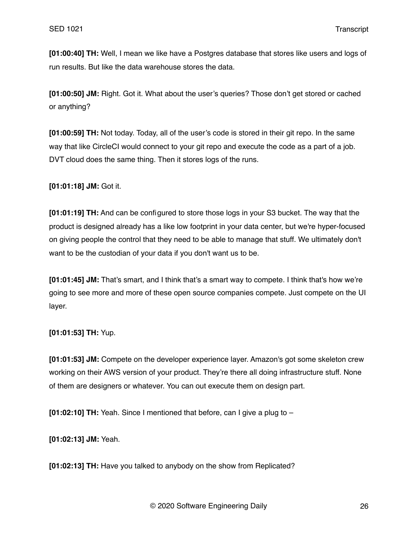**[01:00:40] TH:** Well, I mean we like have a Postgres database that stores like users and logs of run results. But like the data warehouse stores the data.

**[01:00:50] JM:** Right. Got it. What about the user's queries? Those don't get stored or cached or anything?

**[01:00:59] TH:** Not today. Today, all of the user's code is stored in their git repo. In the same way that like CircleCI would connect to your git repo and execute the code as a part of a job. DVT cloud does the same thing. Then it stores logs of the runs.

**[01:01:18] JM:** Got it.

**[01:01:19] TH:** And can be configured to store those logs in your S3 bucket. The way that the product is designed already has a like low footprint in your data center, but we're hyper-focused on giving people the control that they need to be able to manage that stuff. We ultimately don't want to be the custodian of your data if you don't want us to be.

**[01:01:45] JM:** That's smart, and I think that's a smart way to compete. I think that's how we're going to see more and more of these open source companies compete. Just compete on the UI layer.

**[01:01:53] TH:** Yup.

**[01:01:53] JM:** Compete on the developer experience layer. Amazon's got some skeleton crew working on their AWS version of your product. They're there all doing infrastructure stuff. None of them are designers or whatever. You can out execute them on design part.

**[01:02:10] TH:** Yeah. Since I mentioned that before, can I give a plug to –

**[01:02:13] JM:** Yeah.

**[01:02:13] TH:** Have you talked to anybody on the show from Replicated?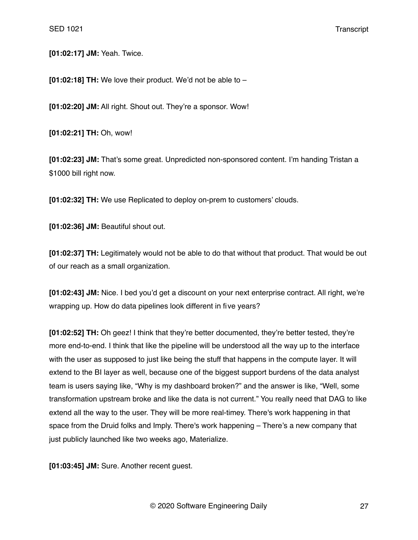**[01:02:17] JM:** Yeah. Twice.

**[01:02:18] TH:** We love their product. We'd not be able to –

**[01:02:20] JM:** All right. Shout out. They're a sponsor. Wow!

**[01:02:21] TH:** Oh, wow!

**[01:02:23] JM:** That's some great. Unpredicted non-sponsored content. I'm handing Tristan a \$1000 bill right now.

**[01:02:32] TH:** We use Replicated to deploy on-prem to customers' clouds.

**[01:02:36] JM:** Beautiful shout out.

**[01:02:37] TH:** Legitimately would not be able to do that without that product. That would be out of our reach as a small organization.

**[01:02:43] JM:** Nice. I bed you'd get a discount on your next enterprise contract. All right, we're wrapping up. How do data pipelines look different in five years?

**[01:02:52] TH:** Oh geez! I think that they're better documented, they're better tested, they're more end-to-end. I think that like the pipeline will be understood all the way up to the interface with the user as supposed to just like being the stuff that happens in the compute layer. It will extend to the BI layer as well, because one of the biggest support burdens of the data analyst team is users saying like, "Why is my dashboard broken?" and the answer is like, "Well, some transformation upstream broke and like the data is not current." You really need that DAG to like extend all the way to the user. They will be more real-timey. There's work happening in that space from the Druid folks and Imply. There's work happening – There's a new company that just publicly launched like two weeks ago, Materialize.

**[01:03:45] JM:** Sure. Another recent guest.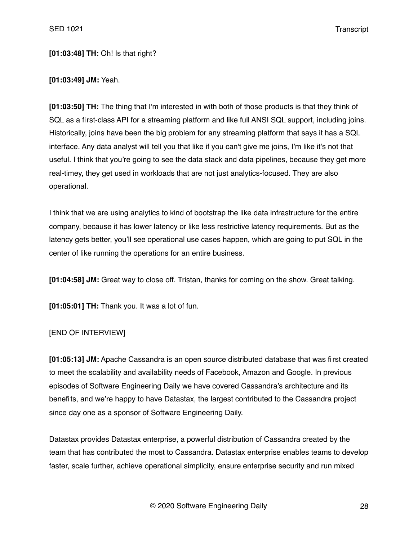# **[01:03:48] TH:** Oh! Is that right?

#### **[01:03:49] JM:** Yeah.

**[01:03:50] TH:** The thing that I'm interested in with both of those products is that they think of SQL as a first-class API for a streaming platform and like full ANSI SQL support, including joins. Historically, joins have been the big problem for any streaming platform that says it has a SQL interface. Any data analyst will tell you that like if you can't give me joins, I'm like it's not that useful. I think that you're going to see the data stack and data pipelines, because they get more real-timey, they get used in workloads that are not just analytics-focused. They are also operational.

I think that we are using analytics to kind of bootstrap the like data infrastructure for the entire company, because it has lower latency or like less restrictive latency requirements. But as the latency gets better, you'll see operational use cases happen, which are going to put SQL in the center of like running the operations for an entire business.

**[01:04:58] JM:** Great way to close off. Tristan, thanks for coming on the show. Great talking.

**[01:05:01] TH:** Thank you. It was a lot of fun.

## [END OF INTERVIEW]

**[01:05:13] JM:** Apache Cassandra is an open source distributed database that was first created to meet the scalability and availability needs of Facebook, Amazon and Google. In previous episodes of Software Engineering Daily we have covered Cassandra's architecture and its benefits, and we're happy to have Datastax, the largest contributed to the Cassandra project since day one as a sponsor of Software Engineering Daily.

Datastax provides Datastax enterprise, a powerful distribution of Cassandra created by the team that has contributed the most to Cassandra. Datastax enterprise enables teams to develop faster, scale further, achieve operational simplicity, ensure enterprise security and run mixed